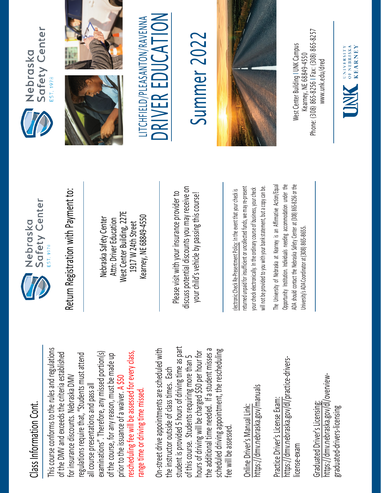## Class Information Cont. Class Information Cont.

This course conforms to the rules and regulations This course conforms to the rules and regulations rescheduling fee will be assessed for every class, examinations". Therefore, any missed portion(s) of the DMV and exceeds the criteria established regulations require that, "Students must attend of the DMV and exceeds the criteria established examinations". Therefore, any missed portion(s) of the course, for any reason, must be made up rescheduling fee will be assessed for every class, regulations require that, "Students must attend of the course, for any reason, must be made up for insurance discounts. Nebraska DMV for insurance discounts. Nebraska DMV prior to the issuance of a waiver. A \$50 all course presentations and pass all all course presentations and pass all range time or driving time missed. prior to the issuance of a waiver. range time or driving time missed

student is provided 5 hours of driving time as part On-street drive appointments are scheduled with student is provided 5 hours of driving time as part the additional time needed. If a student misses a scheduled driving appointment, the rescheduling the additional time needed. If a student misses a On-street drive appointments are scheduled with hours of driving will be charged \$50 per hour for hours of driving will be charged \$50 per hour for scheduled driving appointment, the rescheduling of this course. Students requiring more than 5 of this course. Students requiring more than 5 the instructor outside of class times. Each the instructor outside of class times. Each fee will be assessed. fee will be assessec

https://dmv.nebraska.gov/manuals https://dmv.nebraska.gov/manuals Online Driver's Manual Link: Online Driver's Manual Link:

https://dmv.nebraska.gov/dl/practice-drivershttps://dmv.nebraska.gov/dl/practice-drivers-Practice Driver's License Exam: Practice Driver's License Exam: license-exam icense-exam

https://dmv.nebraska.gov/dl/overviewhttps://dmv.nebraska.gov/dl/overview-Graduated Driver's Licensing: Graduated Driver's Licensing: graduated-drivers-licensing graduated-drivers-licensing



Nebraska Safety Center Attn: Driver Education West Center Building, 227E 1917 W 24th Street Kearney, NE 68849-4550

Please visit with your insurance provider to discuss potential discounts you may receive on potential discounts you may receive on your child's vehicle by passing this course! Return Registration with Payment to:<br>
Nebraska Safety Center<br>
Attn: Driver Education<br>
1917 W 24th Street<br>
Rearney, NE 68849-4550<br>
Rease visit with your insurance provider to<br>
Please visit with your insurance provider to<br>
y

returned unpaid for insufficient or uncollected funds, we may re-present a copy can be. returned unpaid for insufficient or uncollected funds, we may re-present will not be provided to you with your bank statement, but a copy can be. your check electronically. In the ordinary course of business, your check your check electronically. In the ordinary course of business, your check will not be provided to you with your bank statement, but

The University of Nebraska at Kearney is an Affirmative Action/Equal The University of Nebraska at Kearney is an Affirmative Action/Equal Opportunity Institution. Individuals needing accommodation under the ADA should contact the Nebraska Safety Center at (308) 865-8256 or the Opportunity Institution. Individuals needing accommodation under the ADA should contact the Nebraska Safety Center at (308) 865-8256 or the Jniversity's ADA Coordinator at (308) 865-8655. University's ADA Coordinator at (308) 86







LITCHFIELD/PLEASANTON/RAVENNA<br>DRIVER EDUCATION

## Summer 202 Summer 2022



Phone: (308) 865-8256 | Fax: (308) 865-8257 West Center Building I UNK Campus Nest Center Building I UNK Campus -8256 I Fax: (308) 865 Kearney, NE 68849-4550 www.unk.edu/dred [www.unk.edu/dred](http://www.unk.edu/dred) Kearney, NE 68849 Phone: (308) 865

UNIVERSITY<br>
OF NEBRASKA<br>
KFARNEY

**KEARNEY**